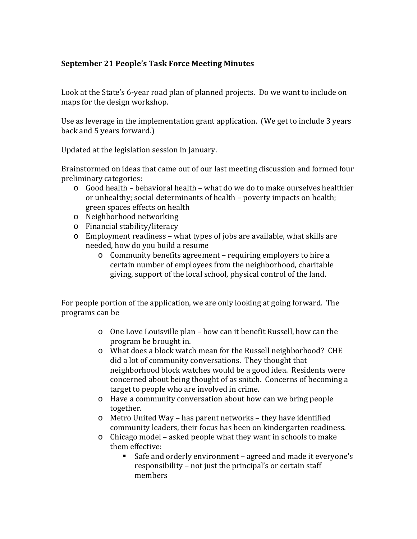## **September 21 People's Task Force Meeting Minutes**

Look at the State's 6-year road plan of planned projects. Do we want to include on maps for the design workshop.

Use as leverage in the implementation grant application. (We get to include 3 years back and 5 years forward.)

Updated at the legislation session in January.

Brainstormed on ideas that came out of our last meeting discussion and formed four preliminary categories:

- $\circ$  Good health behavioral health what do we do to make ourselves healthier or unhealthy; social determinants of health – poverty impacts on health; green spaces effects on health
- o Neighborhood networking
- o Financial stability/literacy
- o Employment readiness what types of jobs are available, what skills are needed, how do you build a resume
	- o Community benefits agreement requiring employers to hire a certain number of employees from the neighborhood, charitable giving, support of the local school, physical control of the land.

For people portion of the application, we are only looking at going forward. The programs can be

- o One Love Louisville plan how can it benefit Russell, how can the program be brought in.
- o What does a block watch mean for the Russell neighborhood? CHE did a lot of community conversations. They thought that neighborhood block watches would be a good idea. Residents were concerned about being thought of as snitch. Concerns of becoming a target to people who are involved in crime.
- o Have a community conversation about how can we bring people together.
- o Metro United Way has parent networks they have identified community leaders, their focus has been on kindergarten readiness.
- o Chicago model asked people what they want in schools to make them effective:
	- Safe and orderly environment agreed and made it everyone's responsibility – not just the principal's or certain staff members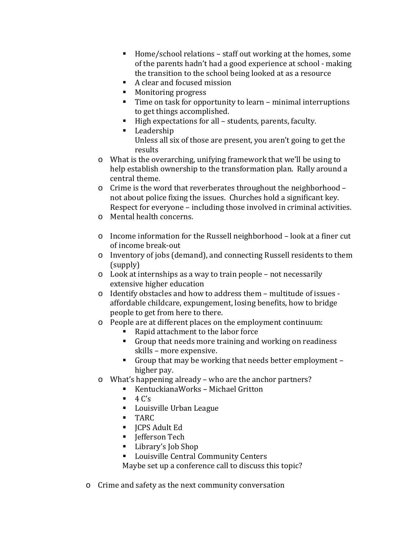- $\blacksquare$  Home/school relations staff out working at the homes, some of the parents hadn't had a good experience at school - making the transition to the school being looked at as a resource
- A clear and focused mission
- **Monitoring progress**
- Time on task for opportunity to learn minimal interruptions to get things accomplished.
- High expectations for all students, parents, faculty.
- **Leadership**

Unless all six of those are present, you aren't going to get the results

- o What is the overarching, unifying framework that we'll be using to help establish ownership to the transformation plan. Rally around a central theme.
- o Crime is the word that reverberates throughout the neighborhood not about police fixing the issues. Churches hold a significant key. Respect for everyone – including those involved in criminal activities.
- o Mental health concerns.
- o Income information for the Russell neighborhood look at a finer cut of income break-out
- o Inventory of jobs (demand), and connecting Russell residents to them (supply)
- o Look at internships as a way to train people not necessarily extensive higher education
- o Identify obstacles and how to address them multitude of issues affordable childcare, expungement, losing benefits, how to bridge people to get from here to there.
- o People are at different places on the employment continuum:
	- Rapid attachment to the labor force
	- Group that needs more training and working on readiness skills – more expensive.
	- Group that may be working that needs better employment higher pay.
- o What's happening already who are the anchor partners?
	- KentuckianaWorks Michael Gritton
	- $-4 C'$ s
	- **Louisville Urban League**
	- TARC
	- **ICPS Adult Ed**
	- **I**efferson Tech
	- Library's Job Shop
	- **Louisville Central Community Centers**

Maybe set up a conference call to discuss this topic?

o Crime and safety as the next community conversation